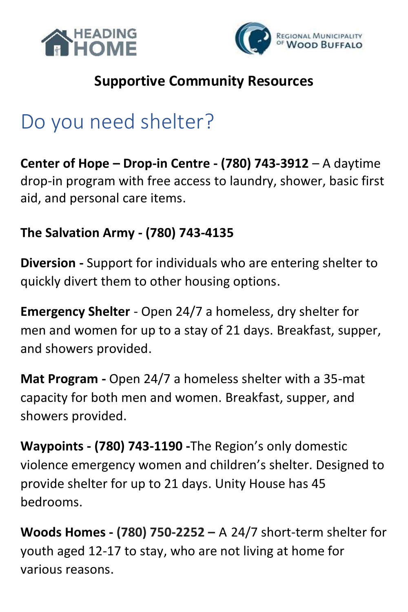



### **Supportive Community Resources**

### Do you need shelter?

**Center of Hope – Drop-in Centre - (780) 743-3912** – A daytime drop-in program with free access to laundry, shower, basic first aid, and personal care items.

#### **The Salvation Army - (780) 743-4135**

**Diversion -** Support for individuals who are entering shelter to quickly divert them to other housing options.

**Emergency Shelter** - Open 24/7 a homeless, dry shelter for men and women for up to a stay of 21 days. Breakfast, supper, and showers provided.

**Mat Program -** Open 24/7 a homeless shelter with a 35-mat capacity for both men and women. Breakfast, supper, and showers provided.

**Waypoints - (780) 743-1190 -**The Region's only domestic violence emergency women and children's shelter. Designed to provide shelter for up to 21 days. Unity House has 45 bedrooms.

**Woods Homes - (780) 750-2252 –** A 24/7 short-term shelter for youth aged 12-17 to stay, who are not living at home for various reasons.